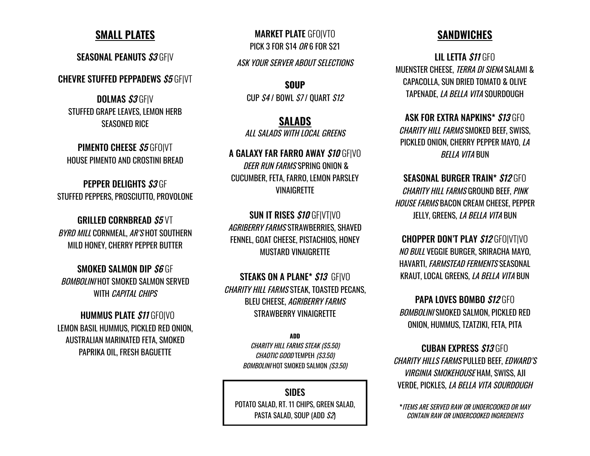### **SMALL PLATES**

SEASONAL PEANUTS \$3 GFIV

**CHEVRE STUFFED PEPPADEWS S5 GFIVT** 

DOLMAS S3 GFIV STUFFED GRAPE LEAVES, LEMON HERB SEASONED RICE

PIMENTO CHEESE \$5 GFOIVT HOUSE PIMENTO AND CROSTINI BREAD

PEPPER DELIGHTS S3 GF STUFFED PEPPERS, PROSCIUTTO, PROVOLONE

GRILLED CORNBREAD S5 VT BYRD MILL CORNMEAL, AR'S HOT SOUTHERN MILD HONEY, CHERRY PEPPER BUTTER

SMOKED SALMON DIP S6 GF BOMBOLINI HOT SMOKED SALMON SERVED WITH *CAPITAL CHIPS* 

**HUMMUS PLATE \$11 GFOIVO** LEMON BASIL HUMMUS, PICKLED RED ONION, AUSTRALIAN MARINATED FETA, SMOKED PAPRIKA OIL, FRESH BAGUETTE

MARKET PLATE GFO|VTO PICK 3 FOR \$14 OR 6 FOR \$21

ASK YOUR SERVER ABOUT SELECTIONS

**SOUP** CUP  $S4$  / BOWL  $S7$  / OUART  $S12$ 

**SALADS**

ALL SALADS WITH LOCAL GREENS

A GALAXY FAR FARRO AWAY \$10 GFIVO DEER RUN FARMS SPRING ONION & CUCUMBER, FETA, FARRO, LEMON PARSLEY **VINAIGRETTE** 

SUN IT RISES \$10 GF|VT|VO AGRIBERRY FARMS STRAWBERRIES, SHAVED FENNEL, GOAT CHEESE, PISTACHIOS, HONEY MUSTARD VINAIGRETTE

STEAKS ON A PLANE\* \$13 GFIVO CHARITY HILL FARMS STEAK, TOASTED PECANS, BLEU CHEESE, AGRIBERRY FARMS STRAWBERRY VINAIGRETTE

> **ADD** CHARITY HILL FARMS STEAK (\$5.50) CHAOTIC GOOD TEMPEH (\$3.50) BOMBOLINI HOT SMOKED SALMON (\$3.50)

SIDES POTATO SALAD, RT. 11 CHIPS, GREEN SALAD, PASTA SALAD, SOUP (ADD S2)

## **SANDWICHES**

LIL LETTA \$11 GFO MUENSTER CHEESE, TERRA DI SIENA SALAMI & CAPACOLLA, SUN DRIED TOMATO & OLIVE TAPENADE, LA BELLA VITA SOURDOUGH

ASK FOR EXTRA NAPKINS\* \$13 GFO CHARITY HILL FARMS SMOKED BEEF, SWISS, PICKLED ONION, CHERRY PEPPER MAYO, LA BELLA VITA BUN

SEASONAL BURGER TRAIN\* \$12 GFO CHARITY HILL FARMS GROUND BEEF, PINK HOUSE FARMS BACON CREAM CHEESE, PEPPER JELLY, GREENS, *LA BELLA VITA* BUN

CHOPPER DON'T PLAY \$12 GFO|VT|VO NO BULL VEGGIE BURGER, SRIRACHA MAYO, HAVARTI, FARMSTEAD FERMENTS SEASONAL KRAUT, LOCAL GREENS, LA BELLA VITA BUN

PAPA LOVES BOMBO \$12 GFO BOMBOLINI SMOKED SALMON, PICKLED RED ONION, HUMMUS, TZATZIKI, FETA, PITA

CUBAN EXPRESS \$13 GFO CHARITY HILLS FARMS PULLED BEEF, EDWARD'S VIRGINIA SMOKEHOUSE HAM, SWISS, AJI VERDE, PICKLES, LA BELLA VITA SOURDOUGH

**\***ITEMS ARE SERVED RAW OR UNDERCOOKED OR MAY CONTAIN RAW OR UNDERCOOKED INGREDIENTS